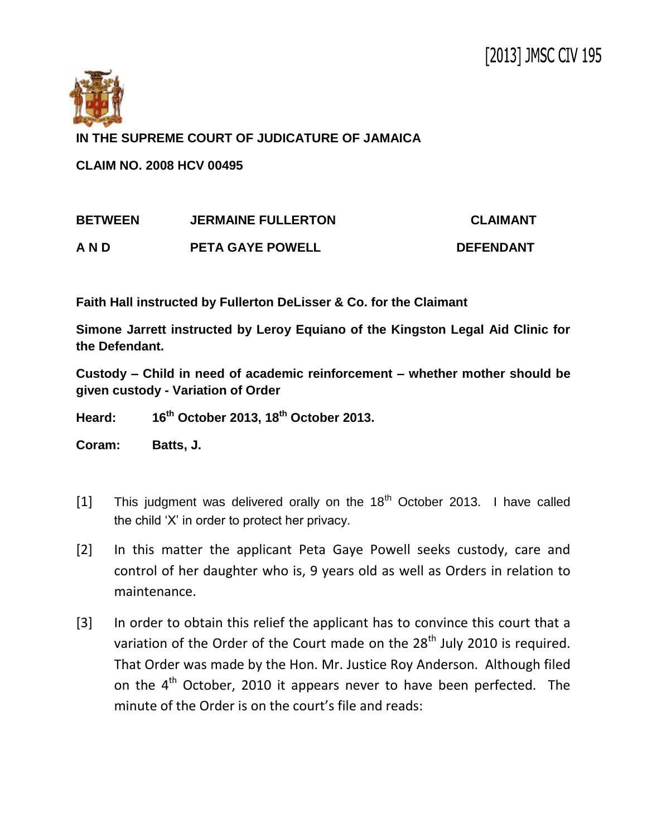

**IN THE SUPREME COURT OF JUDICATURE OF JAMAICA**

**CLAIM NO. 2008 HCV 00495**

| <b>BETWEEN</b> | <b>JERMAINE FULLERTON</b> | <b>CLAIMANT</b>  |
|----------------|---------------------------|------------------|
| AND            | <b>PETA GAYE POWELL</b>   | <b>DEFENDANT</b> |

**Faith Hall instructed by Fullerton DeLisser & Co. for the Claimant**

**Simone Jarrett instructed by Leroy Equiano of the Kingston Legal Aid Clinic for the Defendant.**

**Custody – Child in need of academic reinforcement – whether mother should be given custody - Variation of Order** 

**Heard: 16th October 2013, 18th October 2013.**

**Coram: Batts, J.**

- [1] This judgment was delivered orally on the  $18<sup>th</sup>$  October 2013. I have called the child 'X' in order to protect her privacy.
- [2] In this matter the applicant Peta Gaye Powell seeks custody, care and control of her daughter who is, 9 years old as well as Orders in relation to maintenance.
- [3] In order to obtain this relief the applicant has to convince this court that a variation of the Order of the Court made on the  $28<sup>th</sup>$  July 2010 is required. That Order was made by the Hon. Mr. Justice Roy Anderson. Although filed on the  $4<sup>th</sup>$  October, 2010 it appears never to have been perfected. The minute of the Order is on the court's file and reads: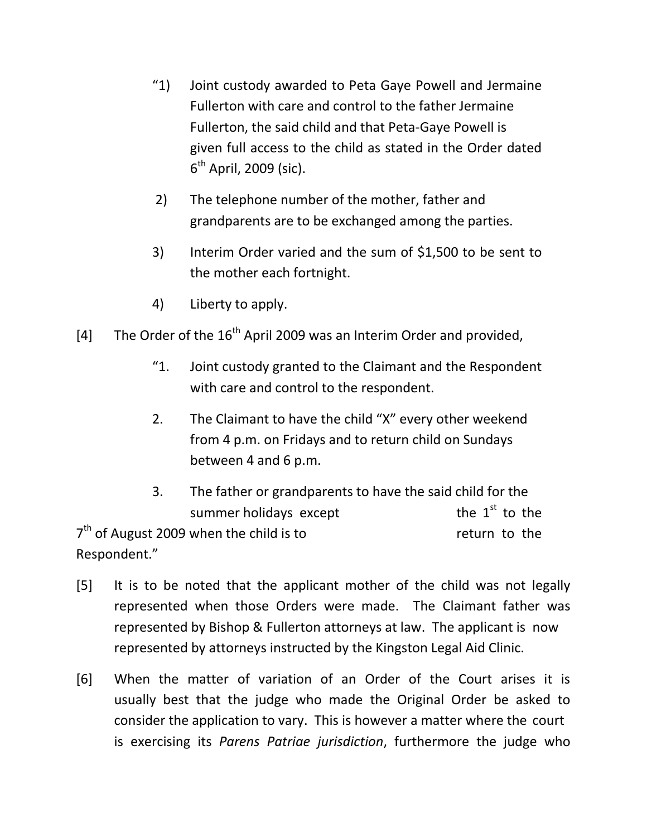- "1) Joint custody awarded to Peta Gaye Powell and Jermaine Fullerton with care and control to the father Jermaine Fullerton, the said child and that Peta-Gaye Powell is given full access to the child as stated in the Order dated 6<sup>th</sup> April, 2009 (sic).
- 2) The telephone number of the mother, father and grandparents are to be exchanged among the parties.
- 3) Interim Order varied and the sum of \$1,500 to be sent to the mother each fortnight.
- 4) Liberty to apply.
- [4] The Order of the  $16<sup>th</sup>$  April 2009 was an Interim Order and provided,
	- "1. Joint custody granted to the Claimant and the Respondent with care and control to the respondent.
	- 2. The Claimant to have the child "X" every other weekend from 4 p.m. on Fridays and to return child on Sundays between 4 and 6 p.m.
- 3. The father or grandparents to have the said child for the summer holidays except the  $1<sup>st</sup>$  to the  $7<sup>th</sup>$  of August 2009 when the child is to return to the Respondent."
- [5] It is to be noted that the applicant mother of the child was not legally represented when those Orders were made. The Claimant father was represented by Bishop & Fullerton attorneys at law. The applicant is now represented by attorneys instructed by the Kingston Legal Aid Clinic.
- [6] When the matter of variation of an Order of the Court arises it is usually best that the judge who made the Original Order be asked to consider the application to vary. This is however a matter where the court is exercising its *Parens Patriae jurisdiction*, furthermore the judge who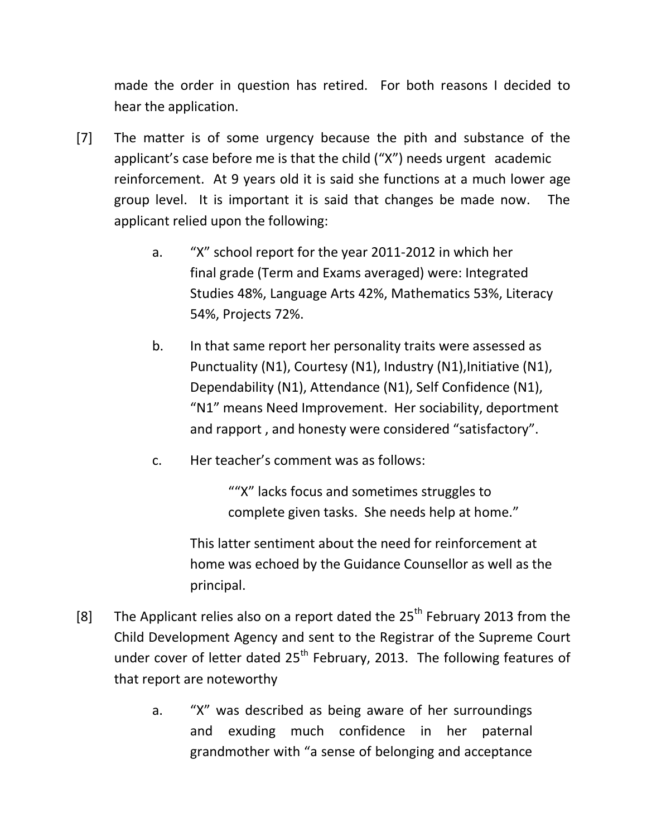made the order in question has retired. For both reasons I decided to hear the application.

- [7] The matter is of some urgency because the pith and substance of the applicant's case before me is that the child ("X") needs urgent academic reinforcement. At 9 years old it is said she functions at a much lower age group level. It is important it is said that changes be made now. The applicant relied upon the following:
	- a. "X" school report for the year 2011-2012 in which her final grade (Term and Exams averaged) were: Integrated Studies 48%, Language Arts 42%, Mathematics 53%, Literacy 54%, Projects 72%.
	- b. In that same report her personality traits were assessed as Punctuality (N1), Courtesy (N1), Industry (N1), Initiative (N1), Dependability (N1), Attendance (N1), Self Confidence (N1), "N1" means Need Improvement. Her sociability, deportment and rapport , and honesty were considered "satisfactory".
	- c. Her teacher's comment was as follows:

""X" lacks focus and sometimes struggles to complete given tasks. She needs help at home."

This latter sentiment about the need for reinforcement at home was echoed by the Guidance Counsellor as well as the principal.

- [8] The Applicant relies also on a report dated the  $25<sup>th</sup>$  February 2013 from the Child Development Agency and sent to the Registrar of the Supreme Court under cover of letter dated  $25<sup>th</sup>$  February, 2013. The following features of that report are noteworthy
	- a. "X" was described as being aware of her surroundings and exuding much confidence in her paternal grandmother with "a sense of belonging and acceptance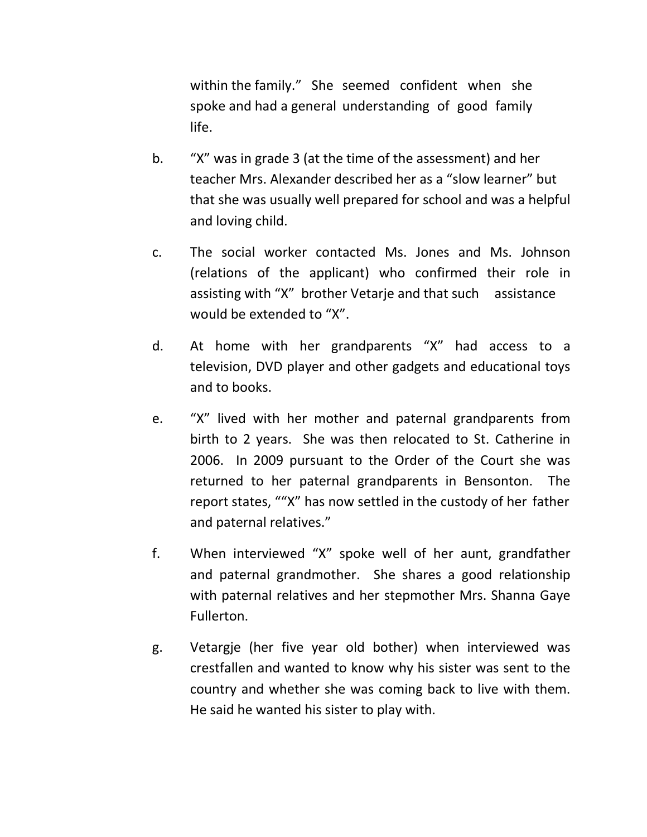within the family." She seemed confident when she spoke and had a general understanding of good family life.

- b. "X" was in grade 3 (at the time of the assessment) and her teacher Mrs. Alexander described her as a "slow learner" but that she was usually well prepared for school and was a helpful and loving child.
- c. The social worker contacted Ms. Jones and Ms. Johnson (relations of the applicant) who confirmed their role in assisting with "X" brother Vetarje and that such assistance would be extended to "X".
- d. At home with her grandparents "X" had access to a television, DVD player and other gadgets and educational toys and to books.
- e. "X" lived with her mother and paternal grandparents from birth to 2 years. She was then relocated to St. Catherine in 2006. In 2009 pursuant to the Order of the Court she was returned to her paternal grandparents in Bensonton. The report states, ""X" has now settled in the custody of her father and paternal relatives."
- f. When interviewed "X" spoke well of her aunt, grandfather and paternal grandmother. She shares a good relationship with paternal relatives and her stepmother Mrs. Shanna Gaye Fullerton.
- g. Vetargje (her five year old bother) when interviewed was crestfallen and wanted to know why his sister was sent to the country and whether she was coming back to live with them. He said he wanted his sister to play with.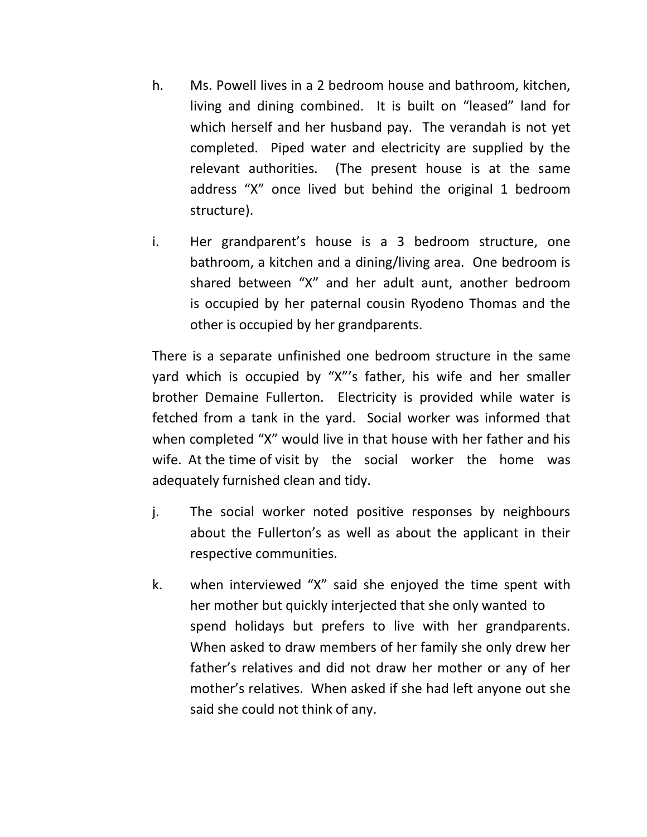- h. Ms. Powell lives in a 2 bedroom house and bathroom, kitchen, living and dining combined. It is built on "leased" land for which herself and her husband pay. The verandah is not yet completed. Piped water and electricity are supplied by the relevant authorities. (The present house is at the same address "X" once lived but behind the original 1 bedroom structure).
- i. Her grandparent's house is a 3 bedroom structure, one bathroom, a kitchen and a dining/living area. One bedroom is shared between "X" and her adult aunt, another bedroom is occupied by her paternal cousin Ryodeno Thomas and the other is occupied by her grandparents.

There is a separate unfinished one bedroom structure in the same yard which is occupied by "X"'s father, his wife and her smaller brother Demaine Fullerton. Electricity is provided while water is fetched from a tank in the yard. Social worker was informed that when completed "X" would live in that house with her father and his wife. At the time of visit by the social worker the home was adequately furnished clean and tidy.

- j. The social worker noted positive responses by neighbours about the Fullerton's as well as about the applicant in their respective communities.
- k. when interviewed "X" said she enjoyed the time spent with her mother but quickly interjected that she only wanted to spend holidays but prefers to live with her grandparents. When asked to draw members of her family she only drew her father's relatives and did not draw her mother or any of her mother's relatives. When asked if she had left anyone out she said she could not think of any.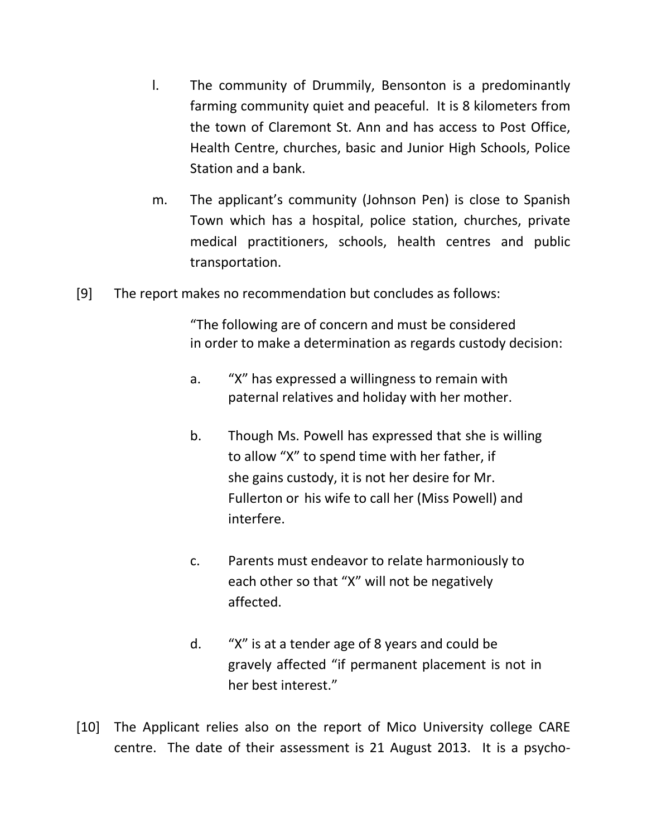- l. The community of Drummily, Bensonton is a predominantly farming community quiet and peaceful. It is 8 kilometers from the town of Claremont St. Ann and has access to Post Office, Health Centre, churches, basic and Junior High Schools, Police Station and a bank.
- m. The applicant's community (Johnson Pen) is close to Spanish Town which has a hospital, police station, churches, private medical practitioners, schools, health centres and public transportation.
- [9] The report makes no recommendation but concludes as follows:

"The following are of concern and must be considered in order to make a determination as regards custody decision:

- a. "X" has expressed a willingness to remain with paternal relatives and holiday with her mother.
- b. Though Ms. Powell has expressed that she is willing to allow "X" to spend time with her father, if she gains custody, it is not her desire for Mr. Fullerton or his wife to call her (Miss Powell) and interfere.
- c. Parents must endeavor to relate harmoniously to each other so that "X" will not be negatively affected.
- d. "X" is at a tender age of 8 years and could be gravely affected "if permanent placement is not in her best interest."
- [10] The Applicant relies also on the report of Mico University college CARE centre. The date of their assessment is 21 August 2013. It is a psycho-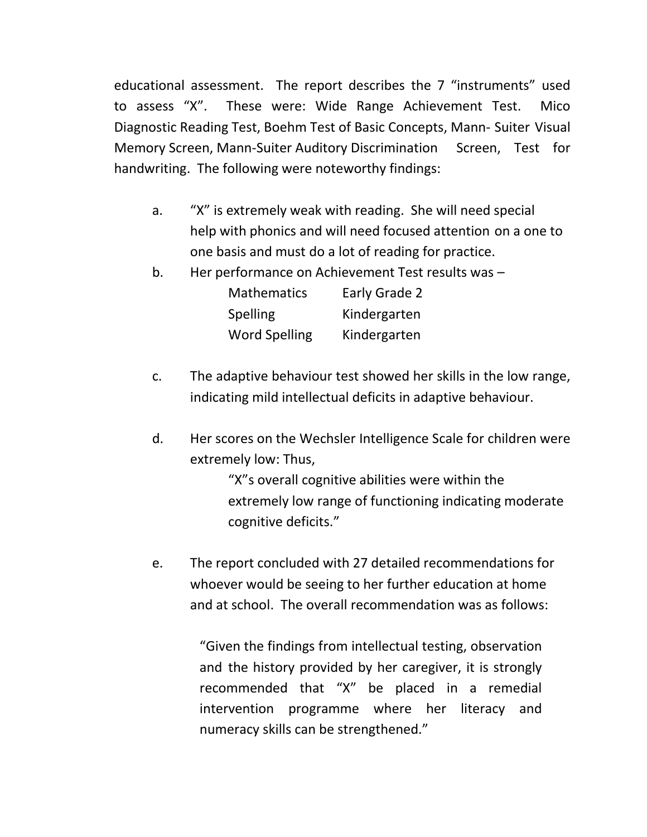educational assessment. The report describes the 7 "instruments" used to assess "X". These were: Wide Range Achievement Test. Mico Diagnostic Reading Test, Boehm Test of Basic Concepts, Mann- Suiter Visual Memory Screen, Mann-Suiter Auditory Discrimination Screen, Test for handwriting. The following were noteworthy findings:

- a. "X" is extremely weak with reading. She will need special help with phonics and will need focused attention on a one to one basis and must do a lot of reading for practice.
- b. Her performance on Achievement Test results was –

| <b>Mathematics</b>   | Early Grade 2 |
|----------------------|---------------|
| <b>Spelling</b>      | Kindergarten  |
| <b>Word Spelling</b> | Kindergarten  |

- c. The adaptive behaviour test showed her skills in the low range, indicating mild intellectual deficits in adaptive behaviour.
- d. Her scores on the Wechsler Intelligence Scale for children were extremely low: Thus,

"X"s overall cognitive abilities were within the extremely low range of functioning indicating moderate cognitive deficits."

e. The report concluded with 27 detailed recommendations for whoever would be seeing to her further education at home and at school. The overall recommendation was as follows:

> "Given the findings from intellectual testing, observation and the history provided by her caregiver, it is strongly recommended that "X" be placed in a remedial intervention programme where her literacy and numeracy skills can be strengthened."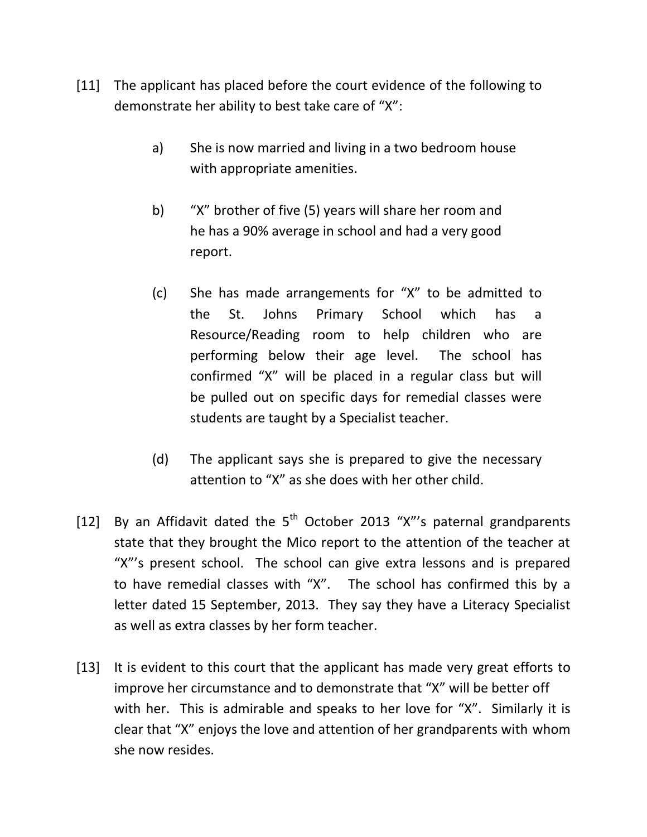- [11] The applicant has placed before the court evidence of the following to demonstrate her ability to best take care of "X":
	- a) She is now married and living in a two bedroom house with appropriate amenities.
	- b) "X" brother of five (5) years will share her room and he has a 90% average in school and had a very good report.
	- (c) She has made arrangements for "X" to be admitted to the St. Johns Primary School which has a Resource/Reading room to help children who are performing below their age level. The school has confirmed "X" will be placed in a regular class but will be pulled out on specific days for remedial classes were students are taught by a Specialist teacher.
	- (d) The applicant says she is prepared to give the necessary attention to "X" as she does with her other child.
- [12] By an Affidavit dated the  $5<sup>th</sup>$  October 2013 "X"'s paternal grandparents state that they brought the Mico report to the attention of the teacher at "X"'s present school. The school can give extra lessons and is prepared to have remedial classes with "X". The school has confirmed this by a letter dated 15 September, 2013. They say they have a Literacy Specialist as well as extra classes by her form teacher.
- [13] It is evident to this court that the applicant has made very great efforts to improve her circumstance and to demonstrate that "X" will be better off with her. This is admirable and speaks to her love for "X". Similarly it is clear that "X" enjoys the love and attention of her grandparents with whom she now resides.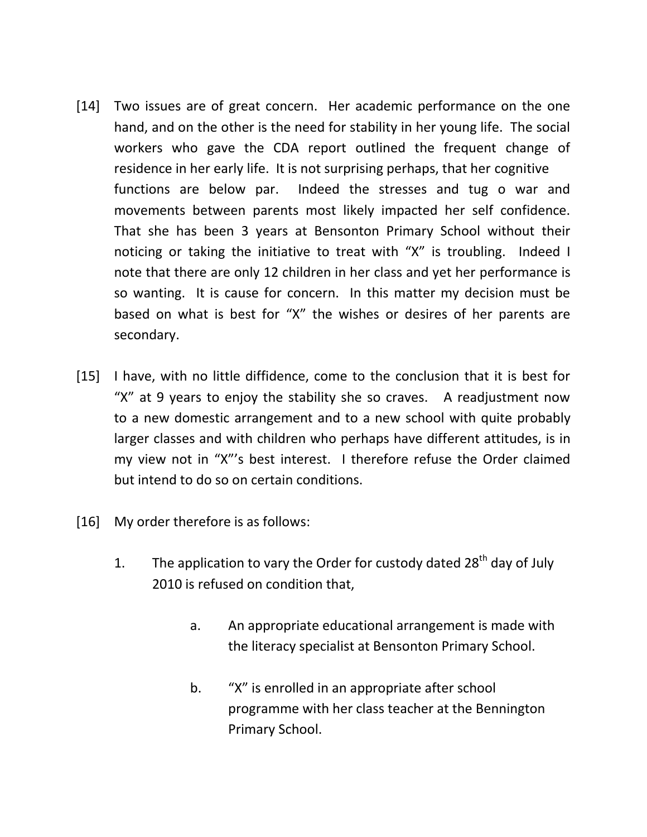- [14] Two issues are of great concern. Her academic performance on the one hand, and on the other is the need for stability in her young life. The social workers who gave the CDA report outlined the frequent change of residence in her early life. It is not surprising perhaps, that her cognitive functions are below par. Indeed the stresses and tug o war and movements between parents most likely impacted her self confidence. That she has been 3 years at Bensonton Primary School without their noticing or taking the initiative to treat with "X" is troubling. Indeed I note that there are only 12 children in her class and yet her performance is so wanting. It is cause for concern. In this matter my decision must be based on what is best for "X" the wishes or desires of her parents are secondary.
- [15] I have, with no little diffidence, come to the conclusion that it is best for "X" at 9 years to enjoy the stability she so craves. A readjustment now to a new domestic arrangement and to a new school with quite probably larger classes and with children who perhaps have different attitudes, is in my view not in "X"'s best interest. I therefore refuse the Order claimed but intend to do so on certain conditions.
- [16] My order therefore is as follows:
	- 1. The application to vary the Order for custody dated  $28<sup>th</sup>$  day of July 2010 is refused on condition that,
		- a. An appropriate educational arrangement is made with the literacy specialist at Bensonton Primary School.
		- b. "X" is enrolled in an appropriate after school programme with her class teacher at the Bennington Primary School.